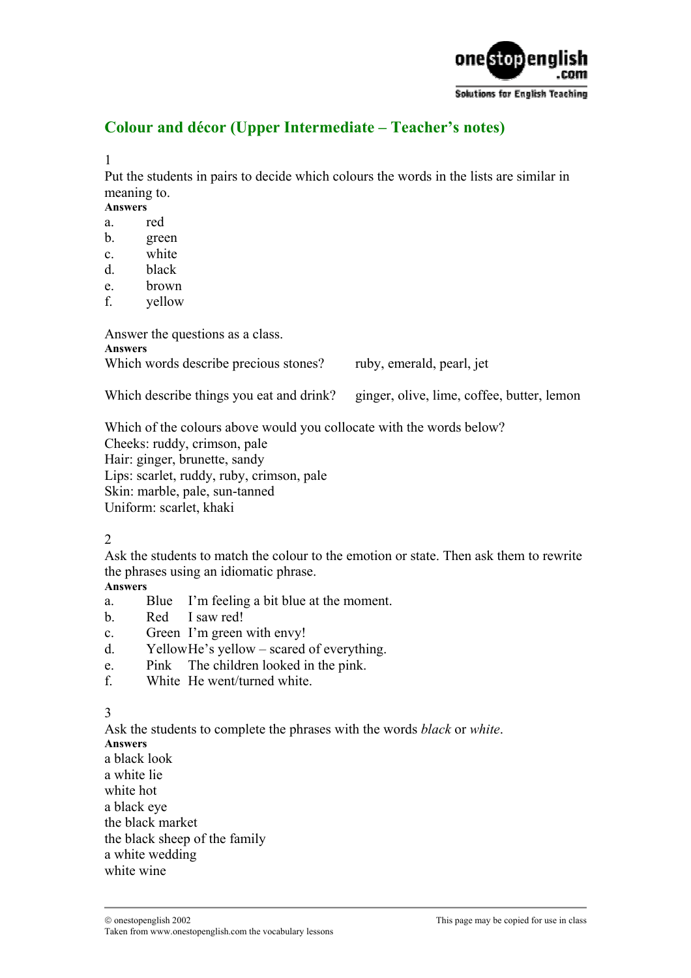

# **Colour and décor (Upper Intermediate – Teacher's notes)**

1

Put the students in pairs to decide which colours the words in the lists are similar in meaning to.

**Answers** 

- a. red
- b. green
- c. white
- d. black
- e. brown
- f. yellow

Answer the questions as a class. **Answers** 

Which words describe precious stones? ruby, emerald, pearl, jet

Which describe things you eat and drink? ginger, olive, lime, coffee, butter, lemon

Which of the colours above would you collocate with the words below? Cheeks: ruddy, crimson, pale Hair: ginger, brunette, sandy Lips: scarlet, ruddy, ruby, crimson, pale Skin: marble, pale, sun-tanned Uniform: scarlet, khaki

2

Ask the students to match the colour to the emotion or state. Then ask them to rewrite the phrases using an idiomatic phrase.

#### **Answers**

- a. Blue I'm feeling a bit blue at the moment.
- b. Red I saw red!
- c. Green I'm green with envy!
- d. Yellow He's yellow scared of everything.
- e. Pink The children looked in the pink.
- f. White He went/turned white.

3

Ask the students to complete the phrases with the words *black* or *white*. **Answers** 

a black look

a white lie

white hot

a black eye

the black market

the black sheep of the family

a white wedding

white wine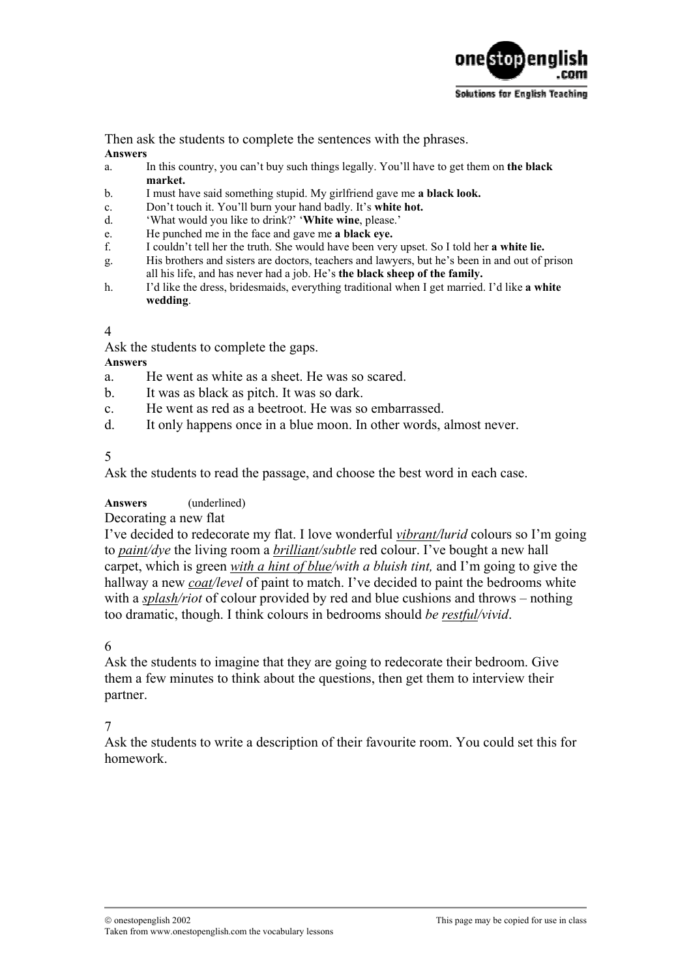

Then ask the students to complete the sentences with the phrases.

### **Answers**

- a. In this country, you can't buy such things legally. You'll have to get them on **the black market.**
- b. I must have said something stupid. My girlfriend gave me **a black look.**
- c. Don't touch it. You'll burn your hand badly. It's **white hot.**
- d. 'What would you like to drink?' '**White wine**, please.'
- e. He punched me in the face and gave me **a black eye.**
- f. I couldn't tell her the truth. She would have been very upset. So I told her **a white lie.**
- g. His brothers and sisters are doctors, teachers and lawyers, but he's been in and out of prison all his life, and has never had a job. He's **the black sheep of the family.**
- h. I'd like the dress, bridesmaids, everything traditional when I get married. I'd like **a white wedding**.

#### 4

Ask the students to complete the gaps.

**Answers** 

- a. He went as white as a sheet. He was so scared.
- b. It was as black as pitch. It was so dark.
- c. He went as red as a beetroot. He was so embarrassed.
- d. It only happens once in a blue moon. In other words, almost never.

5

Ask the students to read the passage, and choose the best word in each case.

## **Answers** (underlined)

#### Decorating a new flat

I've decided to redecorate my flat. I love wonderful *vibrant/lurid* colours so I'm going to *paint/dye* the living room a *brilliant/subtle* red colour. I've bought a new hall carpet, which is green *with a hint of blue/with a bluish tint,* and I'm going to give the hallway a new *coat/level* of paint to match. I've decided to paint the bedrooms white with a *splash/riot* of colour provided by red and blue cushions and throws – nothing too dramatic, though. I think colours in bedrooms should *be restful/vivid*.

## 6

Ask the students to imagine that they are going to redecorate their bedroom. Give them a few minutes to think about the questions, then get them to interview their partner.

## 7

Ask the students to write a description of their favourite room. You could set this for homework.